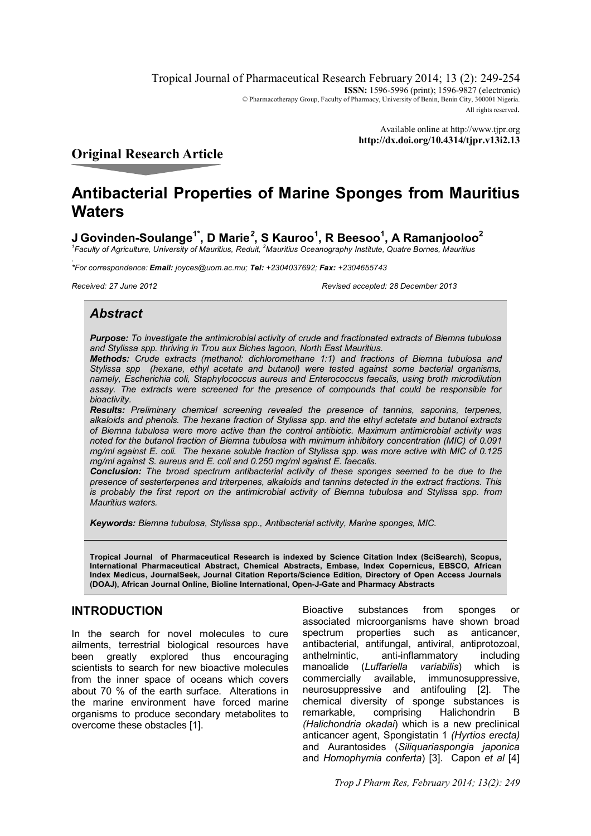Tropical Journal of Pharmaceutical Research February 2014; 13 (2): 249-254 **ISSN:** 1596-5996 (print): 1596-9827 (electronic) © Pharmacotherapy Group, Faculty of Pharmacy, University of Benin, Benin City, 300001 Nigeria. All rights reserved.

> Available online at http://www.tjpr.org **http://dx.doi.org/10.4314/tjpr.v13i2.13**

## **Original Research Article**

# **Antibacterial Properties of Marine Sponges from Mauritius Waters**

**J Govinden-Soulange1\*, D Marie***<sup>2</sup>* **, S Kauroo<sup>1</sup> , R Beesoo<sup>1</sup> , A Ramanjooloo<sup>2</sup>**

*1 Faculty of Agriculture, University of Mauritius, Reduit, <sup>2</sup>Mauritius Oceanography Institute, Quatre Bornes, Mauritius*

*. \*For correspondence: Email: joyces@uom.ac.mu; Tel: +2304037692; Fax: +2304655743*

*Received: 27 June 2012 Revised accepted: 28 December 2013*

## *Abstract*

*Purpose: To investigate the antimicrobial activity of crude and fractionated extracts of Biemna tubulosa and Stylissa spp. thriving in Trou aux Biches lagoon, North East Mauritius.* 

*Methods: Crude extracts (methanol: dichloromethane 1:1) and fractions of Biemna tubulosa and Stylissa spp (hexane, ethyl acetate and butanol) were tested against some bacterial organisms, namely, Escherichia coli, Staphylococcus aureus and Enterococcus faecalis, using broth microdilution assay. The extracts were screened for the presence of compounds that could be responsible for bioactivity.*

*Results: Preliminary chemical screening revealed the presence of tannins, saponins, terpenes, alkaloids and phenols. The hexane fraction of Stylissa spp. and the ethyl actetate and butanol extracts of Biemna tubulosa were more active than the control antibiotic. Maximum antimicrobial activity was noted for the butanol fraction of Biemna tubulosa with minimum inhibitory concentration (MIC) of 0.091 mg/ml against E. coli. The hexane soluble fraction of Stylissa spp. was more active with MIC of 0.125 mg/ml against S. aureus and E. coli and 0.250 mg/ml against E. faecalis.* 

*Conclusion: The broad spectrum antibacterial activity of these sponges seemed to be due to the presence of sesterterpenes and triterpenes, alkaloids and tannins detected in the extract fractions. This is probably the first report on the antimicrobial activity of Biemna tubulosa and Stylissa spp. from Mauritius waters.*

*Keywords: Biemna tubulosa, Stylissa spp., Antibacterial activity, Marine sponges, MIC.*

**Tropical Journal of Pharmaceutical Research is indexed by Science Citation Index (SciSearch), Scopus, International Pharmaceutical Abstract, Chemical Abstracts, Embase, Index Copernicus, EBSCO, African Index Medicus, JournalSeek, Journal Citation Reports/Science Edition, Directory of Open Access Journals (DOAJ), African Journal Online, Bioline International, Open-J-Gate and Pharmacy Abstracts**

## **INTRODUCTION**

In the search for novel molecules to cure ailments, terrestrial biological resources have been greatly explored thus encouraging scientists to search for new bioactive molecules from the inner space of oceans which covers about 70 % of the earth surface. Alterations in the marine environment have forced marine organisms to produce secondary metabolites to overcome these obstacles [1].

Bioactive substances from sponges or associated microorganisms have shown broad spectrum properties such as anticancer, antibacterial, antifungal, antiviral, antiprotozoal, anthelmintic, anti-inflammatory including manoalide (*Luffariella variabilis*) which is commercially available, immunosuppressive, neurosuppressive and antifouling [2]. The chemical diversity of sponge substances is remarkable, comprising Halichondrin B *(Halichondria okadai*) which is a new preclinical anticancer agent, Spongistatin 1 *(Hyrtios erecta)* and Aurantosides (*Siliquariaspongia japonica* and *Homophymia conferta*) [3]. Capon *et al* [4]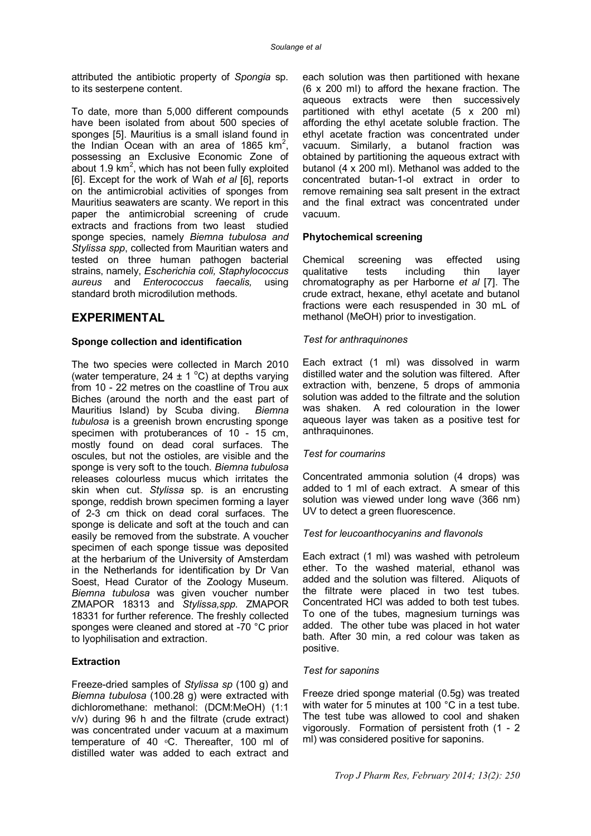attributed the antibiotic property of *Spongia* sp. to its sesterpene content.

To date, more than 5,000 different compounds have been isolated from about 500 species of sponges [5]. Mauritius is a small island found in the Indian Ocean with an area of 1865  $km^2$ , possessing an Exclusive Economic Zone of about 1.9  $km^2$ , which has not been fully exploited [6]. Except for the work of Wah *et al* [6], reports on the antimicrobial activities of sponges from Mauritius seawaters are scanty. We report in this paper the antimicrobial screening of crude extracts and fractions from two least studied sponge species, namely *Biemna tubulosa and Stylissa spp*, collected from Mauritian waters and tested on three human pathogen bacterial strains, namely, *Escherichia coli, Staphylococcus aureus* and *Enterococcus faecalis,* using standard broth microdilution methods.

#### **EXPERIMENTAL**

#### **Sponge collection and identification**

The two species were collected in March 2010 (water temperature,  $24 \pm 1$  °C) at depths varying from 10 - 22 metres on the coastline of Trou aux Biches (around the north and the east part of Mauritius Island) by Scuba diving. *Biemna tubulosa* is a greenish brown encrusting sponge specimen with protuberances of 10 - 15 cm, mostly found on dead coral surfaces. The oscules, but not the ostioles, are visible and the sponge is very soft to the touch. *Biemna tubulosa* releases colourless mucus which irritates the skin when cut. *Stylissa* sp. is an encrusting sponge, reddish brown specimen forming a layer of 2-3 cm thick on dead coral surfaces. The sponge is delicate and soft at the touch and can easily be removed from the substrate. A voucher specimen of each sponge tissue was deposited at the herbarium of the University of Amsterdam in the Netherlands for identification by Dr Van Soest, Head Curator of the Zoology Museum. *Biemna tubulosa* was given voucher number ZMAPOR 18313 and *Stylissa,spp.* ZMAPOR 18331 for further reference. The freshly collected sponges were cleaned and stored at -70 °C prior to lyophilisation and extraction.

#### **Extraction**

Freeze-dried samples of *Stylissa sp* (100 g) and *Biemna tubulosa* (100.28 g) were extracted with dichloromethane: methanol: (DCM:MeOH) (1:1 v/v) during 96 h and the filtrate (crude extract) was concentrated under vacuum at a maximum temperature of 40 °C. Thereafter, 100 ml of distilled water was added to each extract and

each solution was then partitioned with hexane (6 x 200 ml) to afford the hexane fraction. The aqueous extracts were then successively partitioned with ethyl acetate (5 x 200 ml) affording the ethyl acetate soluble fraction. The ethyl acetate fraction was concentrated under vacuum. Similarly, a butanol fraction was obtained by partitioning the aqueous extract with butanol (4 x 200 ml). Methanol was added to the concentrated butan-1-ol extract in order to remove remaining sea salt present in the extract and the final extract was concentrated under vacuum.

#### **Phytochemical screening**

Chemical screening was effected using qualitative tests including thin layer chromatography as per Harborne *et al* [7]. The crude extract, hexane, ethyl acetate and butanol fractions were each resuspended in 30 mL of methanol (MeOH) prior to investigation.

#### *Test for anthraquinones*

Each extract (1 ml) was dissolved in warm distilled water and the solution was filtered. After extraction with, benzene, 5 drops of ammonia solution was added to the filtrate and the solution was shaken. A red colouration in the lower aqueous layer was taken as a positive test for anthraquinones.

#### *Test for coumarins*

Concentrated ammonia solution (4 drops) was added to 1 ml of each extract. A smear of this solution was viewed under long wave (366 nm) UV to detect a green fluorescence.

#### *Test for leucoanthocyanins and flavonols*

Each extract (1 ml) was washed with petroleum ether. To the washed material, ethanol was added and the solution was filtered. Aliquots of the filtrate were placed in two test tubes. Concentrated HCl was added to both test tubes. To one of the tubes, magnesium turnings was added. The other tube was placed in hot water bath. After 30 min, a red colour was taken as positive.

#### *Test for saponins*

Freeze dried sponge material (0.5g) was treated with water for 5 minutes at 100 °C in a test tube. The test tube was allowed to cool and shaken vigorously. Formation of persistent froth (1 - 2 ml) was considered positive for saponins.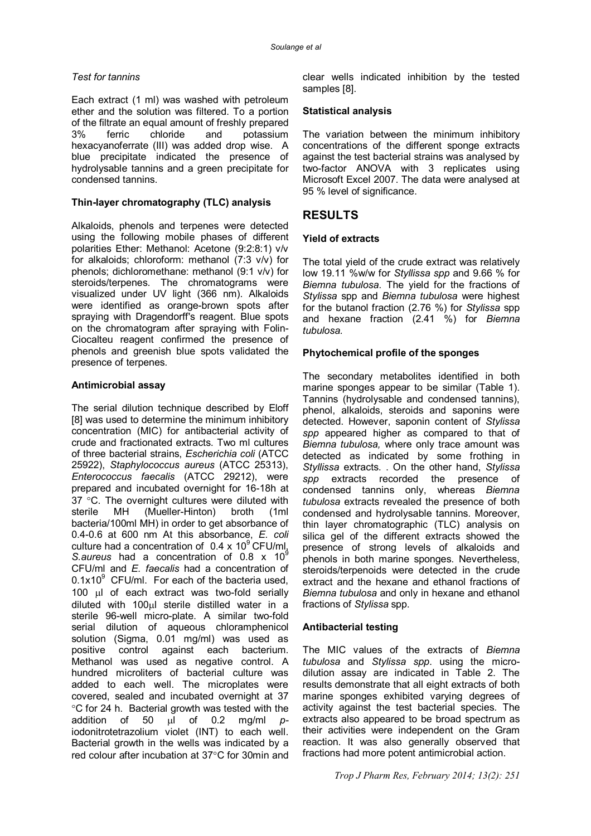#### *Test for tannins*

Each extract (1 ml) was washed with petroleum ether and the solution was filtered. To a portion of the filtrate an equal amount of freshly prepared 3% ferric chloride and potassium hexacyanoferrate (III) was added drop wise. A blue precipitate indicated the presence of hydrolysable tannins and a green precipitate for condensed tannins.

#### **Thin-layer chromatography (TLC) analysis**

Alkaloids, phenols and terpenes were detected using the following mobile phases of different polarities Ether: Methanol: Acetone (9:2:8:1) v/v for alkaloids; chloroform: methanol (7:3 v/v) for phenols; dichloromethane: methanol (9:1 v/v) for steroids/terpenes. The chromatograms were visualized under UV light (366 nm). Alkaloids were identified as orange-brown spots after spraying with Dragendorff's reagent. Blue spots on the chromatogram after spraying with Folin-Ciocalteu reagent confirmed the presence of phenols and greenish blue spots validated the presence of terpenes.

#### **Antimicrobial assay**

The serial dilution technique described by Eloff [8] was used to determine the minimum inhibitory concentration (MIC) for antibacterial activity of crude and fractionated extracts. Two ml cultures of three bacterial strains, *Escherichia coli* (ATCC 25922), *Staphylococcus aureus* (ATCC 25313), *Enterococcus faecalis* (ATCC 29212), were prepared and incubated overnight for 16-18h at 37 $\degree$ C. The overnight cultures were diluted with sterile MH (Mueller-Hinton) broth (1ml bacteria/100ml MH) in order to get absorbance of 0.4-0.6 at 600 nm At this absorbance, *E. coli* culture had a concentration of  $0.4 \times 10^9$  CFU/ml, *S.aureus* had a concentration of 0.8 x 10<sup>9</sup> CFU/ml and *E. faecalis* had a concentration of  $0.1x10^9$  CFU/ml. For each of the bacteria used, 100  $\mu$ I of each extract was two-fold serially diluted with 100 ul sterile distilled water in a sterile 96-well micro-plate. A similar two-fold serial dilution of aqueous chloramphenicol solution (Sigma, 0.01 mg/ml) was used as positive control against each bacterium. Methanol was used as negative control. A hundred microliters of bacterial culture was added to each well. The microplates were covered, sealed and incubated overnight at 37 °C for 24 h. Bacterial growth was tested with the addition of 50 µl of 0.2 mg/ml piodonitrotetrazolium violet (INT) to each well. Bacterial growth in the wells was indicated by a red colour after incubation at  $37^{\circ}$ C for 30min and clear wells indicated inhibition by the tested samples [8].

#### **Statistical analysis**

The variation between the minimum inhibitory concentrations of the different sponge extracts against the test bacterial strains was analysed by two-factor ANOVA with 3 replicates using Microsoft Excel 2007. The data were analysed at 95 % level of significance.

## **RESULTS**

#### **Yield of extracts**

The total yield of the crude extract was relatively low 19.11 %w/w for *Styllissa spp* and 9.66 % for *Biemna tubulosa*. The yield for the fractions of *Stylissa* spp and *Biemna tubulosa* were highest for the butanol fraction (2.76 %) for *Stylissa* spp and hexane fraction (2.41 %) for *Biemna tubulosa.*

#### **Phytochemical profile of the sponges**

The secondary metabolites identified in both marine sponges appear to be similar (Table 1). Tannins (hydrolysable and condensed tannins), phenol, alkaloids, steroids and saponins were detected. However, saponin content of *Stylissa spp* appeared higher as compared to that of *Biemna tubulosa,* where only trace amount was detected as indicated by some frothing in *Styllissa* extracts. . On the other hand, *Stylissa spp* extracts recorded the presence of condensed tannins only, whereas *Biemna tubulosa* extracts revealed the presence of both condensed and hydrolysable tannins. Moreover, thin layer chromatographic (TLC) analysis on silica gel of the different extracts showed the presence of strong levels of alkaloids and phenols in both marine sponges. Nevertheless, steroids/terpenoids were detected in the crude extract and the hexane and ethanol fractions of *Biemna tubulosa* and only in hexane and ethanol fractions of *Stylissa* spp.

#### **Antibacterial testing**

The MIC values of the extracts of *Biemna tubulosa* and *Stylissa spp*. using the microdilution assay are indicated in Table 2. The results demonstrate that all eight extracts of both marine sponges exhibited varying degrees of activity against the test bacterial species. The extracts also appeared to be broad spectrum as their activities were independent on the Gram reaction. It was also generally observed that fractions had more potent antimicrobial action.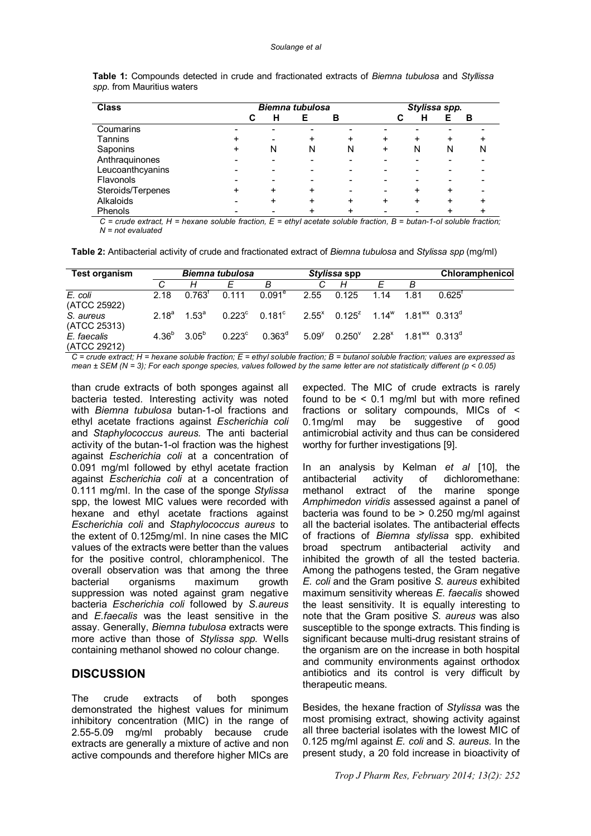| <b>Class</b>      |   | <b>Biemna tubulosa</b> |   |   |   |   | Stylissa spp. |   |  |  |
|-------------------|---|------------------------|---|---|---|---|---------------|---|--|--|
|                   |   | н<br>С                 |   | в | С | н |               | в |  |  |
| Coumarins         |   |                        |   |   |   |   |               |   |  |  |
| Tannins           |   |                        |   | ٠ |   | + |               |   |  |  |
| Saponins          | + | N                      | N | N | ÷ | N | N             | N |  |  |
| Anthraquinones    |   |                        |   |   |   |   |               |   |  |  |
| Leucoanthcyanins  |   |                        |   |   |   |   |               |   |  |  |
| Flavonols         |   |                        |   |   |   |   |               |   |  |  |
| Steroids/Terpenes |   | ÷                      | + |   |   |   | +             |   |  |  |
| Alkaloids         |   |                        | + | + |   |   |               |   |  |  |
| Phenols           |   |                        |   |   |   |   |               |   |  |  |

**Table 1:** Compounds detected in crude and fractionated extracts of *Biemna tubulosa* and *Styllissa spp.* from Mauritius waters

*C = crude extract, H = hexane soluble fraction, E = ethyl acetate soluble fraction, B = butan-1-ol soluble fraction; N = not evaluated*

**Table 2:** Antibacterial activity of crude and fractionated extract of *Biemna tubulosa* and *Stylissa spp* (mg/ml)

| <b>Test organism</b>        |       | <b>Biemna tubulosa</b>        |                 |                                                                                                                   | Stylissa spp |                                                                        |      | Chloramphenicol |                      |  |
|-----------------------------|-------|-------------------------------|-----------------|-------------------------------------------------------------------------------------------------------------------|--------------|------------------------------------------------------------------------|------|-----------------|----------------------|--|
|                             |       | Н                             |                 | В                                                                                                                 |              | H                                                                      |      | B               |                      |  |
| E. coli<br>(ATCC 25922)     | 2.18  | $0.763^{\mathrm{t}}$          | 0.111           | $0.091^e$                                                                                                         | 2.55         | 0.125                                                                  | 1.14 | 1.81            | $0.625^{\mathrm{T}}$ |  |
| S. aureus<br>(ATCC 25313)   | 2 18ª | 1.53 <sup>a</sup>             |                 | $0.223^{\circ}$ $0.181^{\circ}$ $2.55^{\circ}$ $0.125^{\circ}$ $1.14^{\circ}$ $1.81^{\circ\circ}$ $0.313^{\circ}$ |              |                                                                        |      |                 |                      |  |
| E. faecalis<br>(ATCC 29212) |       | $4.36^{\circ}$ $3.05^{\circ}$ | $0.223^{\circ}$ | $0.363^{\rm d}$                                                                                                   | $5.09^{y}$   | $0.250^{\vee}$ 2.28 <sup>x</sup> 1.81 <sup>wx</sup> 0.313 <sup>d</sup> |      |                 |                      |  |

*C = crude extract; H = hexane soluble fraction; E = ethyl soluble fraction; B = butanol soluble fraction; values are expressed as mean ± SEM (N = 3); For each sponge species, values followed by the same letter are not statistically different (p < 0.05)*

than crude extracts of both sponges against all bacteria tested. Interesting activity was noted with *Biemna tubulosa* butan-1-ol fractions and ethyl acetate fractions against *Escherichia coli*  and *Staphylococcus aureus.* The anti bacterial activity of the butan-1-ol fraction was the highest against *Escherichia coli* at a concentration of 0.091 mg/ml followed by ethyl acetate fraction against *Escherichia coli* at a concentration of 0.111 mg/ml. In the case of the sponge *Stylissa* spp, the lowest MIC values were recorded with hexane and ethyl acetate fractions against *Escherichia coli* and *Staphylococcus aureus* to the extent of 0.125mg/ml. In nine cases the MIC values of the extracts were better than the values for the positive control, chloramphenicol. The overall observation was that among the three bacterial organisms maximum growth suppression was noted against gram negative bacteria *Escherichia coli* followed by *S.aureus* and *E.faecalis* was the least sensitive in the assay. Generally, *Biemna tubulosa* extracts were more active than those of *Stylissa spp.* Wells containing methanol showed no colour change.

#### **DISCUSSION**

The crude extracts of both sponges demonstrated the highest values for minimum inhibitory concentration (MIC) in the range of 2.55-5.09 mg/ml probably because crude extracts are generally a mixture of active and non active compounds and therefore higher MICs are

expected. The MIC of crude extracts is rarely found to be  $\leq$  0.1 mg/ml but with more refined fractions or solitary compounds, MICs of < 0.1mg/ml may be suggestive of good antimicrobial activity and thus can be considered worthy for further investigations [9].

In an analysis by Kelman *et al* [10], the antibacterial activity of dichloromethane: methanol extract of the marine sponge *Amphimedon viridis* assessed against a panel of bacteria was found to be > 0.250 mg/ml against all the bacterial isolates. The antibacterial effects of fractions of *Biemna stylissa* spp. exhibited broad spectrum antibacterial activity and inhibited the growth of all the tested bacteria. Among the pathogens tested, the Gram negative *E. coli* and the Gram positive *S. aureus* exhibited maximum sensitivity whereas *E. faecalis* showed the least sensitivity. It is equally interesting to note that the Gram positive *S. aureus* was also susceptible to the sponge extracts. This finding is significant because multi-drug resistant strains of the organism are on the increase in both hospital and community environments against orthodox antibiotics and its control is very difficult by therapeutic means.

Besides, the hexane fraction of *Stylissa* was the most promising extract, showing activity against all three bacterial isolates with the lowest MIC of 0.125 mg/ml against *E. coli* and *S. aureus.* In the present study, a 20 fold increase in bioactivity of

*Trop J Pharm Res, February 2014; 13(2): 252*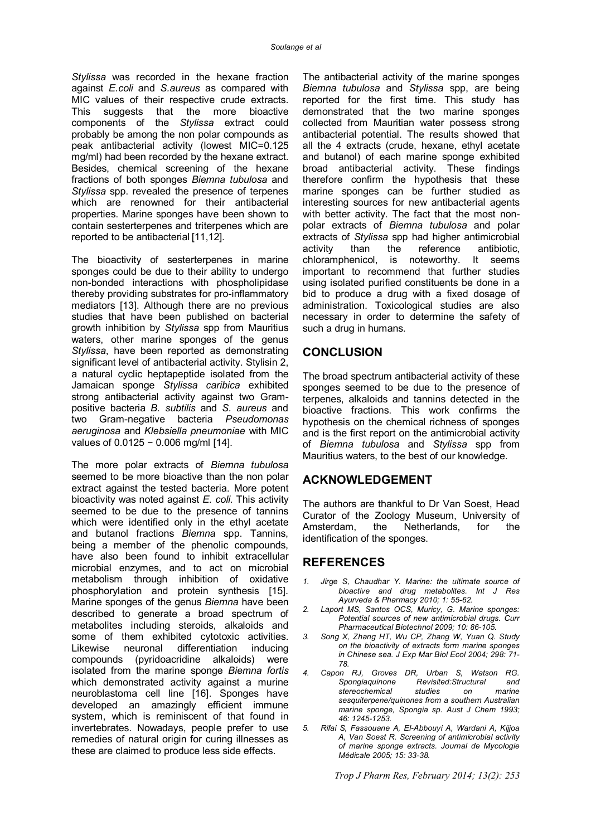*Stylissa* was recorded in the hexane fraction against *E.coli* and *S.aureus* as compared with MIC values of their respective crude extracts. This suggests that the more bioactive components of the *Stylissa* extract could probably be among the non polar compounds as peak antibacterial activity (lowest MIC=0.125 mg/ml) had been recorded by the hexane extract. Besides, chemical screening of the hexane fractions of both sponges *Biemna tubulosa* and *Stylissa* spp. revealed the presence of terpenes which are renowned for their antibacterial properties. Marine sponges have been shown to contain sesterterpenes and triterpenes which are reported to be antibacterial [11,12].

The bioactivity of sesterterpenes in marine sponges could be due to their ability to undergo non-bonded interactions with phospholipidase thereby providing substrates for pro-inflammatory mediators [13]. Although there are no previous studies that have been published on bacterial growth inhibition by *Stylissa* spp from Mauritius waters, other marine sponges of the genus *Stylissa*, have been reported as demonstrating significant level of antibacterial activity. Stylisin 2, a natural cyclic heptapeptide isolated from the Jamaican sponge *Stylissa caribica* exhibited strong antibacterial activity against two Grampositive bacteria *B. subtilis* and *S. aureus* and two Gram-negative bacteria *Pseudomonas aeruginosa* and *Klebsiella pneumoniae* with MIC values of 0.0125 − 0.006 mg/ml [14].

The more polar extracts of *Biemna tubulosa*  seemed to be more bioactive than the non polar extract against the tested bacteria. More potent bioactivity was noted against *E. coli.* This activity seemed to be due to the presence of tannins which were identified only in the ethyl acetate and butanol fractions *Biemna* spp. Tannins, being a member of the phenolic compounds, have also been found to inhibit extracellular microbial enzymes, and to act on microbial metabolism through inhibition of oxidative phosphorylation and protein synthesis [15]. Marine sponges of the genus *Biemna* have been described to generate a broad spectrum of metabolites including steroids, alkaloids and some of them exhibited cytotoxic activities.<br>Likewise neuronal differentiation inducing neuronal differentiation inducing compounds (pyridoacridine alkaloids) were isolated from the marine sponge *Biemna fortis*  which demonstrated activity against a murine neuroblastoma cell line [16]. Sponges have developed an amazingly efficient immune system, which is reminiscent of that found in invertebrates. Nowadays, people prefer to use remedies of natural origin for curing illnesses as these are claimed to produce less side effects.

The antibacterial activity of the marine sponges *Biemna tubulosa* and *Stylissa* spp, are being reported for the first time. This study has demonstrated that the two marine sponges collected from Mauritian water possess strong antibacterial potential. The results showed that all the 4 extracts (crude, hexane, ethyl acetate and butanol) of each marine sponge exhibited broad antibacterial activity. These findings therefore confirm the hypothesis that these marine sponges can be further studied as interesting sources for new antibacterial agents with better activity. The fact that the most nonpolar extracts of *Biemna tubulosa* and polar extracts of *Stylissa* spp had higher antimicrobial activity than the reference antibiotic, chloramphenicol, is noteworthy. It seems important to recommend that further studies using isolated purified constituents be done in a bid to produce a drug with a fixed dosage of administration. Toxicological studies are also necessary in order to determine the safety of such a drug in humans.

#### **CONCLUSION**

The broad spectrum antibacterial activity of these sponges seemed to be due to the presence of terpenes, alkaloids and tannins detected in the bioactive fractions. This work confirms the hypothesis on the chemical richness of sponges and is the first report on the antimicrobial activity of *Biemna tubulosa* and *Stylissa* spp from Mauritius waters, to the best of our knowledge.

#### **ACKNOWLEDGEMENT**

The authors are thankful to Dr Van Soest, Head Curator of the Zoology Museum, University of Amsterdam, the Netherlands, for the identification of the sponges.

#### **REFERENCES**

- *1. Jirge S, Chaudhar Y. Marine: the ultimate source of bioactive and drug metabolites. Int J Res Ayurveda & Pharmacy 2010; 1: 55-62.*
- *2. Laport MS, Santos OCS, Muricy, G. Marine sponges: Potential sources of new antimicrobial drugs. Curr Pharmaceutical Biotechnol 2009; 10: 86-105.*
- *3. Song X, Zhang HT, Wu CP, Zhang W, Yuan Q. Study on the bioactivity of extracts form marine sponges in Chinese sea. J Exp Mar Biol Ecol 2004; 298: 71- 78.*
- *4. Capon RJ, Groves DR, Urban S, Watson RG. Spongiaquinone Revisited:Structural and*   $stereochemical$ *sesquiterpene/quinones from a southern Australian marine sponge, Spongia sp. Aust J Chem 1993; 46: 1245-1253.*
- *5. Rifai S, Fassouane A, El-Abbouyi A, Wardani A, Kijjoa A, Van Soest R. Screening of antimicrobial activity of marine sponge extracts. Journal de Mycologie Médicale 2005; 15: 33-38.*

*Trop J Pharm Res, February 2014; 13(2): 253*